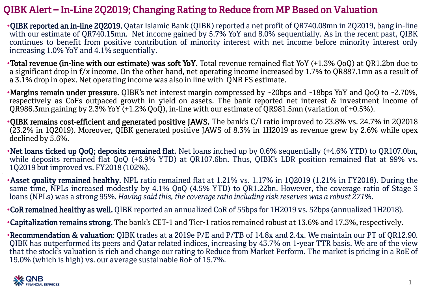## QIBK Alert – In-Line 2Q2019; Changing Rating to Reduce from MP Based on Valuation

•QIBK reported an in-line 2Q2019. Qatar Islamic Bank (QIBK) reported a net profit of QR740.08mn in 2Q2019, bang in-line with our estimate of QR740.15mn. Net income gained by 5.7% YoY and 8.0% sequentially. As in the recent past, QIBK continues to benefit from positive contribution of minority interest with net income before minority interest only increasing 1.0% YoY and 4.1% sequentially.

•Total revenue (in-line with our estimate) was soft YoY. Total revenue remained flat YoY (+1.3% QoQ) at QR1.2bn due to a significant drop in f/x income. On the other hand, net operating income increased by 1.7% to QR887.1mn as a result of a 3.1% drop in opex. Net operating income was also in line with QNB FS estimate.

•Margins remain under pressure. QIBK's net interest margin compressed by ~20bps and ~18bps YoY and QoQ to ~2.70%, respectively as CoFs outpaced growth in yield on assets. The bank reported net interest & investment income of QR986.3mn gaining by 2.3% YoY (+1.2% QoQ), in-line with our estimate of QR981.5mn (variation of +0.5%).

•QIBK remains cost-efficient and generated positive JAWS. The bank's C/I ratio improved to 23.8% vs. 24.7% in 2Q2018 (23.2% in 1Q2019). Moreover, QIBK generated positive JAWS of 8.3% in 1H2019 as revenue grew by 2.6% while opex declined by 5.6%.

•Net loans ticked up QoQ; deposits remained flat. Net loans inched up by 0.6% sequentially (+4.6% YTD) to QR107.0bn, while deposits remained flat QoQ (+6.9% YTD) at QR107.6bn. Thus, QIBK's LDR position remained flat at 99% vs. 1Q2019 but improved vs. FY2018 (102%).

•Asset quality remained healthy. NPL ratio remained flat at 1.21% vs. 1.17% in 1Q2019 (1.21% in FY2018). During the same time, NPLs increased modestly by 4.1% QoQ (4.5% YTD) to QR1.22bn. However, the coverage ratio of Stage 3 loans (NPLs) was a strong 95%. *Having said this, the coverage ratio including risk reserves was a robust 271%.*

•CoR remained healthy as well. QIBK reported an annualized CoR of 55bps for 1H2019 vs. 52bps (annualized 1H2018).

•Capitalization remains strong. The bank's CET-1 and Tier-1 ratios remained robust at 13.6% and 17.3%, respectively.

•Recommendation & valuation: QIBK trades at a 2019e P/E and P/TB of 14.8x and 2.4x. We maintain our PT of QR12.90. QIBK has outperformed its peers and Qatar related indices, increasing by 43.7% on 1-year TTR basis. We are of the view that the stock's valuation is rich and change our rating to Reduce from Market Perform. The market is pricing in a RoE of 19.0% (which is high) vs. our average sustainable RoE of 15.7%.